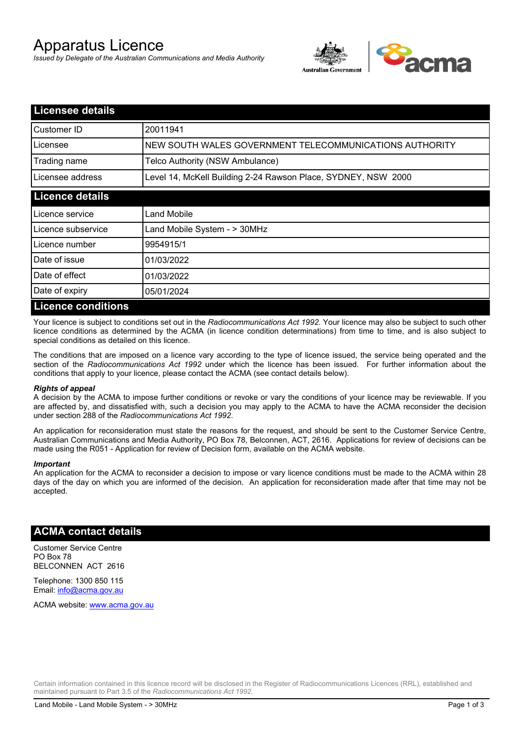# Apparatus Licence

*Issued by Delegate of the Australian Communications and Media Authority*



| <b>Licensee details</b>   |                                                               |  |
|---------------------------|---------------------------------------------------------------|--|
| Customer ID               | 20011941                                                      |  |
| Licensee                  | NEW SOUTH WALES GOVERNMENT TELECOMMUNICATIONS AUTHORITY       |  |
| Trading name              | Telco Authority (NSW Ambulance)                               |  |
| Licensee address          | Level 14, McKell Building 2-24 Rawson Place, SYDNEY, NSW 2000 |  |
| <b>Licence details</b>    |                                                               |  |
| Licence service           | Land Mobile                                                   |  |
| Licence subservice        | Land Mobile System - > 30MHz                                  |  |
| Licence number            | 9954915/1                                                     |  |
| Date of issue             | 01/03/2022                                                    |  |
| Date of effect            | 01/03/2022                                                    |  |
| Date of expiry            | 05/01/2024                                                    |  |
| <b>Licence conditions</b> |                                                               |  |

Your licence is subject to conditions set out in the *Radiocommunications Act 1992*. Your licence may also be subject to such other licence conditions as determined by the ACMA (in licence condition determinations) from time to time, and is also subject to special conditions as detailed on this licence.

The conditions that are imposed on a licence vary according to the type of licence issued, the service being operated and the section of the *Radiocommunications Act 1992* under which the licence has been issued. For further information about the conditions that apply to your licence, please contact the ACMA (see contact details below).

#### *Rights of appeal*

A decision by the ACMA to impose further conditions or revoke or vary the conditions of your licence may be reviewable. If you are affected by, and dissatisfied with, such a decision you may apply to the ACMA to have the ACMA reconsider the decision under section 288 of the *Radiocommunications Act 1992*.

An application for reconsideration must state the reasons for the request, and should be sent to the Customer Service Centre, Australian Communications and Media Authority, PO Box 78, Belconnen, ACT, 2616. Applications for review of decisions can be made using the R051 - Application for review of Decision form, available on the ACMA website.

#### *Important*

An application for the ACMA to reconsider a decision to impose or vary licence conditions must be made to the ACMA within 28 days of the day on which you are informed of the decision. An application for reconsideration made after that time may not be accepted.

### **ACMA contact details**

Customer Service Centre PO Box 78 BELCONNEN ACT 2616

Telephone: 1300 850 115 Email: info@acma.gov.au

ACMA website: www.acma.gov.au

Certain information contained in this licence record will be disclosed in the Register of Radiocommunications Licences (RRL), established and maintained pursuant to Part 3.5 of the *Radiocommunications Act 1992.*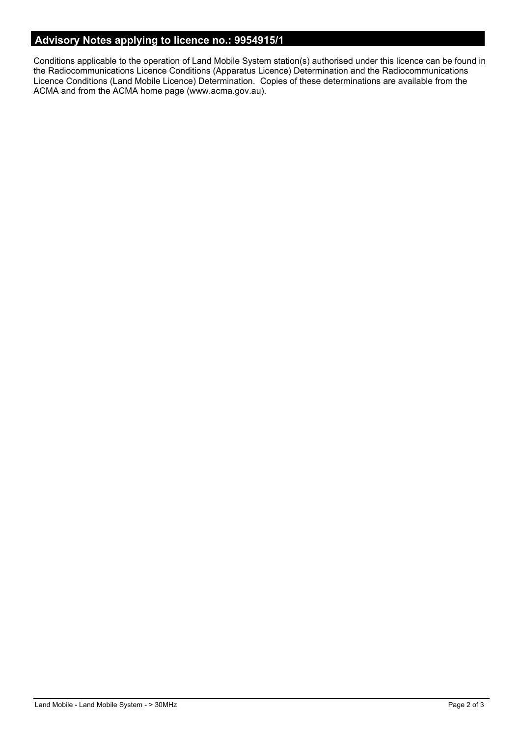# **Advisory Notes applying to licence no.: 9954915/1**

Conditions applicable to the operation of Land Mobile System station(s) authorised under this licence can be found in the Radiocommunications Licence Conditions (Apparatus Licence) Determination and the Radiocommunications Licence Conditions (Land Mobile Licence) Determination. Copies of these determinations are available from the ACMA and from the ACMA home page (www.acma.gov.au).